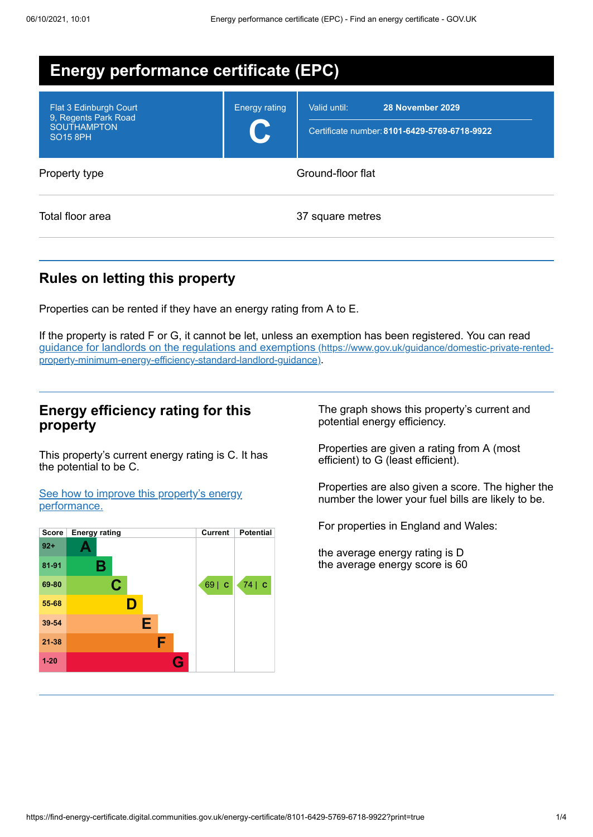| <b>Energy performance certificate (EPC)</b>                                                        |                      |                                                                                  |  |  |  |
|----------------------------------------------------------------------------------------------------|----------------------|----------------------------------------------------------------------------------|--|--|--|
| Flat 3 Edinburgh Court<br>9, Regents Park Road<br><b>SOUTHAMPTON</b><br><b>SO<sub>15</sub></b> 8PH | <b>Energy rating</b> | 28 November 2029<br>Valid until:<br>Certificate number: 8101-6429-5769-6718-9922 |  |  |  |
| Property type                                                                                      | Ground-floor flat    |                                                                                  |  |  |  |
| Total floor area                                                                                   |                      | 37 square metres                                                                 |  |  |  |

## **Rules on letting this property**

Properties can be rented if they have an energy rating from A to E.

If the property is rated F or G, it cannot be let, unless an exemption has been registered. You can read guidance for landlords on the regulations and exemptions (https://www.gov.uk/guidance/domestic-private-rented[property-minimum-energy-efficiency-standard-landlord-guidance\)](https://www.gov.uk/guidance/domestic-private-rented-property-minimum-energy-efficiency-standard-landlord-guidance).

### **Energy efficiency rating for this property**

This property's current energy rating is C. It has the potential to be C.

See how to improve this property's energy [performance.](#page-2-0)



The graph shows this property's current and potential energy efficiency.

Properties are given a rating from A (most efficient) to G (least efficient).

Properties are also given a score. The higher the number the lower your fuel bills are likely to be.

For properties in England and Wales:

the average energy rating is D the average energy score is 60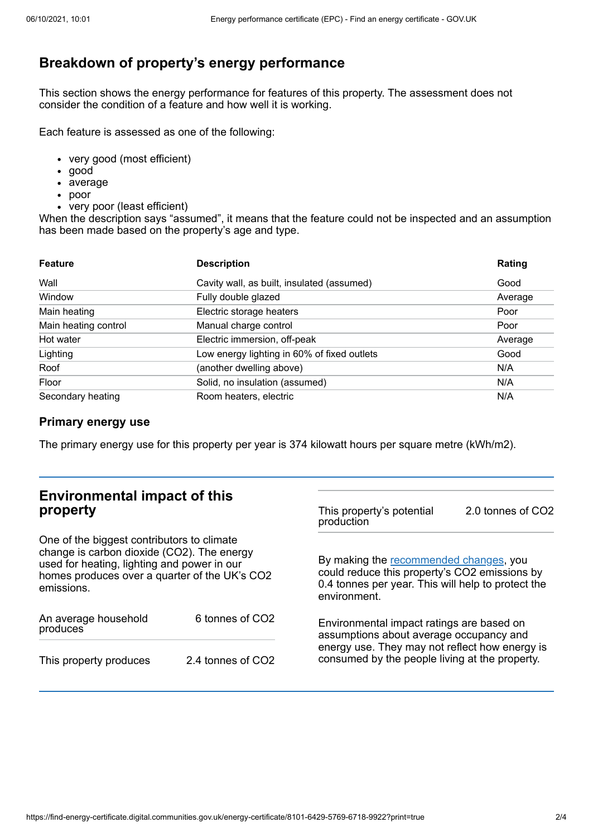# **Breakdown of property's energy performance**

This section shows the energy performance for features of this property. The assessment does not consider the condition of a feature and how well it is working.

Each feature is assessed as one of the following:

- very good (most efficient)
- good
- average
- poor
- very poor (least efficient)

When the description says "assumed", it means that the feature could not be inspected and an assumption has been made based on the property's age and type.

| <b>Feature</b>       | <b>Description</b>                          | Rating  |
|----------------------|---------------------------------------------|---------|
| Wall                 | Cavity wall, as built, insulated (assumed)  | Good    |
| Window               | Fully double glazed                         | Average |
| Main heating         | Electric storage heaters                    | Poor    |
| Main heating control | Manual charge control                       | Poor    |
| Hot water            | Electric immersion, off-peak                | Average |
| Lighting             | Low energy lighting in 60% of fixed outlets | Good    |
| Roof                 | (another dwelling above)                    | N/A     |
| Floor                | Solid, no insulation (assumed)              | N/A     |
| Secondary heating    | Room heaters, electric                      | N/A     |

#### **Primary energy use**

The primary energy use for this property per year is 374 kilowatt hours per square metre (kWh/m2).

| <b>Environmental impact of this</b><br>property<br>One of the biggest contributors to climate<br>change is carbon dioxide (CO2). The energy<br>used for heating, lighting and power in our<br>homes produces over a quarter of the UK's CO2<br>emissions. |                             | This property's potential<br>production                                                                                                                                                  | 2.0 tonnes of CO2 |
|-----------------------------------------------------------------------------------------------------------------------------------------------------------------------------------------------------------------------------------------------------------|-----------------------------|------------------------------------------------------------------------------------------------------------------------------------------------------------------------------------------|-------------------|
|                                                                                                                                                                                                                                                           |                             | By making the recommended changes, you<br>could reduce this property's CO2 emissions by<br>0.4 tonnes per year. This will help to protect the<br>environment.                            |                   |
| An average household<br>produces                                                                                                                                                                                                                          | 6 tonnes of CO <sub>2</sub> | Environmental impact ratings are based on<br>assumptions about average occupancy and<br>energy use. They may not reflect how energy is<br>consumed by the people living at the property. |                   |
| This property produces                                                                                                                                                                                                                                    | 2.4 tonnes of CO2           |                                                                                                                                                                                          |                   |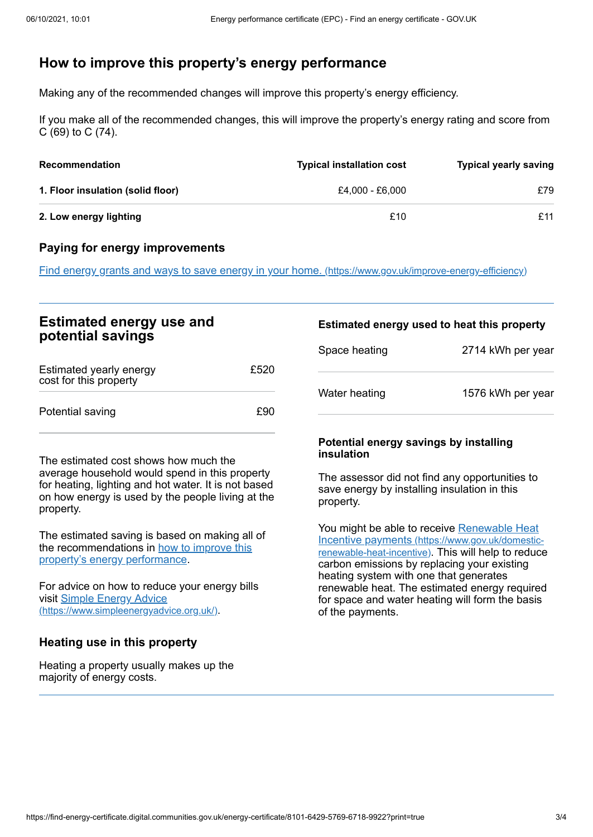### <span id="page-2-0"></span>**How to improve this property's energy performance**

Making any of the recommended changes will improve this property's energy efficiency.

If you make all of the recommended changes, this will improve the property's energy rating and score from C (69) to C (74).

| <b>Recommendation</b>             | <b>Typical installation cost</b> | <b>Typical yearly saving</b> |
|-----------------------------------|----------------------------------|------------------------------|
| 1. Floor insulation (solid floor) | £4.000 - £6.000                  | £79                          |
| 2. Low energy lighting            | £10                              | £11                          |

#### **Paying for energy improvements**

Find energy grants and ways to save energy in your home. [\(https://www.gov.uk/improve-energy-efficiency\)](https://www.gov.uk/improve-energy-efficiency)

| <b>Estimated energy use and</b><br>potential savings |      | Estimated energy used to heat this property |                   |
|------------------------------------------------------|------|---------------------------------------------|-------------------|
|                                                      |      | Space heating                               | 2714 kWh per year |
| Estimated yearly energy<br>cost for this property    | £520 |                                             |                   |
| Potential saving                                     | £90  | Water heating                               | 1576 kWh per year |

The estimated cost shows how much the average household would spend in this property for heating, lighting and hot water. It is not based on how energy is used by the people living at the property.

The estimated saving is based on making all of the [recommendations](#page-2-0) in how to improve this property's energy performance.

For advice on how to reduce your energy bills visit Simple Energy Advice [\(https://www.simpleenergyadvice.org.uk/\)](https://www.simpleenergyadvice.org.uk/).

#### **Heating use in this property**

Heating a property usually makes up the majority of energy costs.

#### **Potential energy savings by installing insulation**

The assessor did not find any opportunities to save energy by installing insulation in this property.

You might be able to receive Renewable Heat Incentive payments [\(https://www.gov.uk/domestic](https://www.gov.uk/domestic-renewable-heat-incentive)renewable-heat-incentive). This will help to reduce carbon emissions by replacing your existing heating system with one that generates renewable heat. The estimated energy required for space and water heating will form the basis of the payments.